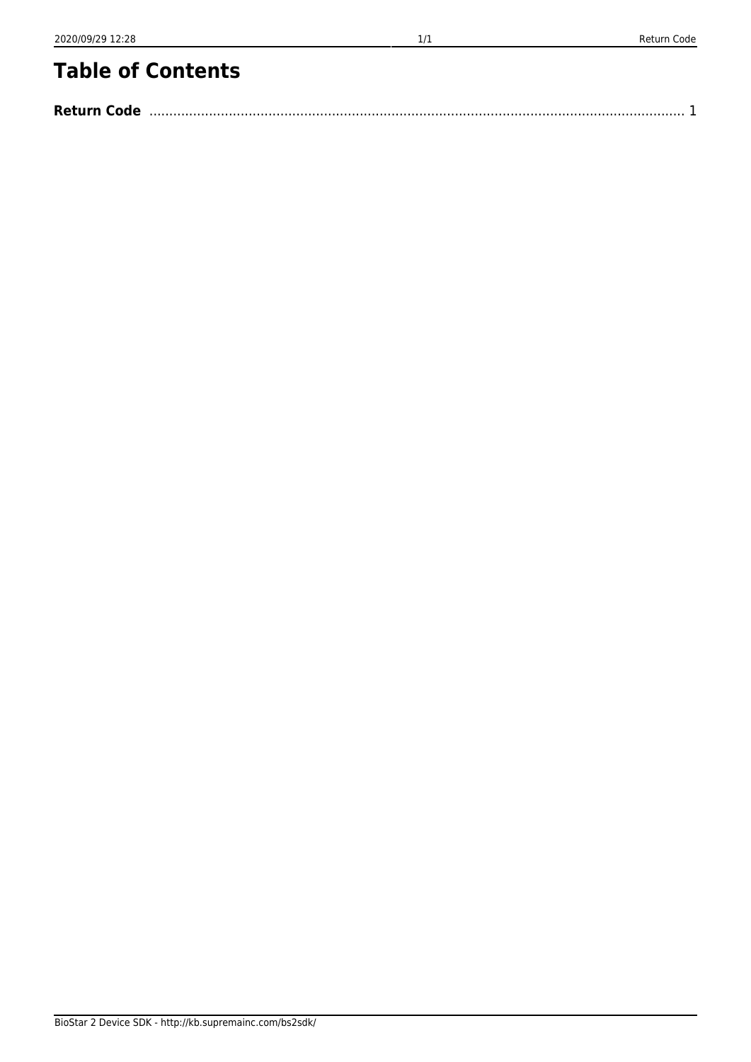BioStar 2 Device SDK - http://kb.supremainc.com/bs2sdk/

## **Table of Contents**

| <b>Return Code</b> |  |
|--------------------|--|
|--------------------|--|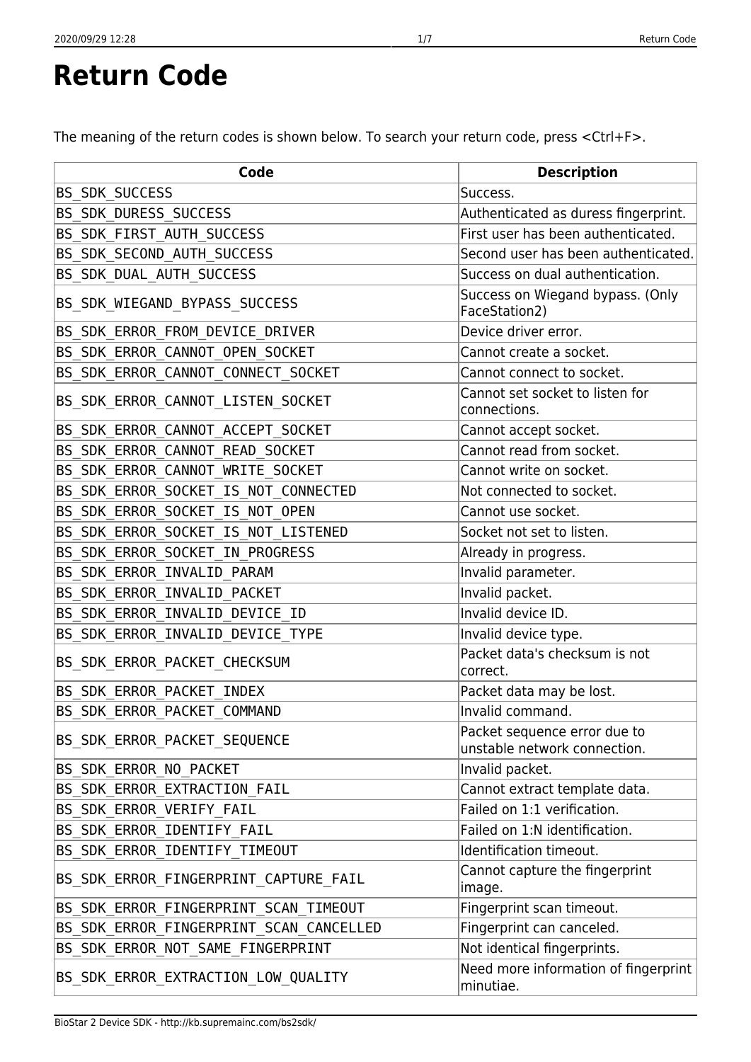<span id="page-1-0"></span>**Return Code**

The meaning of the return codes is shown below. To search your return code, press <Ctrl+F>.

| Code                                    | <b>Description</b>                                           |
|-----------------------------------------|--------------------------------------------------------------|
| <b>BS SDK SUCCESS</b>                   | Success.                                                     |
| BS_SDK_DURESS_SUCCESS                   | Authenticated as duress fingerprint.                         |
| BS_SDK_FIRST_AUTH_SUCCESS               | First user has been authenticated.                           |
| BS_SDK_SECOND_AUTH_SUCCESS              | Second user has been authenticated.                          |
| BS_SDK_DUAL_AUTH_SUCCESS                | Success on dual authentication.                              |
| BS_SDK_WIEGAND_BYPASS_SUCCESS           | Success on Wiegand bypass. (Only<br>FaceStation2)            |
| BS_SDK_ERROR_FROM_DEVICE_DRIVER         | Device driver error.                                         |
| BS_SDK_ERROR_CANNOT_OPEN_SOCKET         | Cannot create a socket.                                      |
| BS_SDK_ERROR_CANNOT_CONNECT_SOCKET      | Cannot connect to socket.                                    |
| BS_SDK_ERROR_CANNOT_LISTEN_SOCKET       | Cannot set socket to listen for<br>connections.              |
| BS_SDK_ERROR_CANNOT_ACCEPT_SOCKET       | Cannot accept socket.                                        |
| BS_SDK_ERROR_CANNOT_READ_SOCKET         | Cannot read from socket.                                     |
| BS_SDK_ERROR_CANNOT_WRITE_SOCKET        | Cannot write on socket.                                      |
| BS_SDK_ERROR_SOCKET_IS_NOT_CONNECTED    | Not connected to socket.                                     |
| BS_SDK_ERROR_SOCKET_IS_NOT_OPEN         | Cannot use socket.                                           |
| BS_SDK_ERROR_SOCKET_IS_NOT_LISTENED     | Socket not set to listen.                                    |
| BS_SDK_ERROR_SOCKET_IN_PROGRESS         | Already in progress.                                         |
| BS_SDK_ERROR_INVALID_PARAM              | Invalid parameter.                                           |
| BS_SDK_ERROR_INVALID_PACKET             | Invalid packet.                                              |
| BS_SDK_ERROR_INVALID_DEVICE_ID          | Invalid device ID.                                           |
| BS_SDK_ERROR_INVALID_DEVICE_TYPE        | Invalid device type.                                         |
| BS_SDK_ERROR_PACKET_CHECKSUM            | Packet data's checksum is not<br>correct.                    |
| BS_SDK_ERROR_PACKET_INDEX               | Packet data may be lost.                                     |
| BS_SDK_ERROR_PACKET_COMMAND             | Invalid command.                                             |
| BS SDK ERROR PACKET SEQUENCE            | Packet sequence error due to<br>unstable network connection. |
| BS SDK ERROR NO PACKET                  | Invalid packet.                                              |
| BS SDK ERROR EXTRACTION FAIL            | Cannot extract template data.                                |
| BS SDK ERROR VERIFY FAIL                | Failed on 1:1 verification.                                  |
| BS SDK ERROR IDENTIFY FAIL              | Failed on 1:N identification.                                |
| BS_SDK_ERROR_IDENTIFY_TIMEOUT           | Identification timeout.                                      |
| BS_SDK_ERROR_FINGERPRINT_CAPTURE_FAIL   | Cannot capture the fingerprint<br>image.                     |
| BS_SDK_ERROR_FINGERPRINT_SCAN_TIMEOUT   | Fingerprint scan timeout.                                    |
| BS_SDK_ERROR_FINGERPRINT_SCAN_CANCELLED | Fingerprint can canceled.                                    |
| BS_SDK_ERROR_NOT_SAME_FINGERPRINT       | Not identical fingerprints.                                  |
| BS SDK ERROR EXTRACTION LOW QUALITY     | Need more information of fingerprint<br>minutiae.            |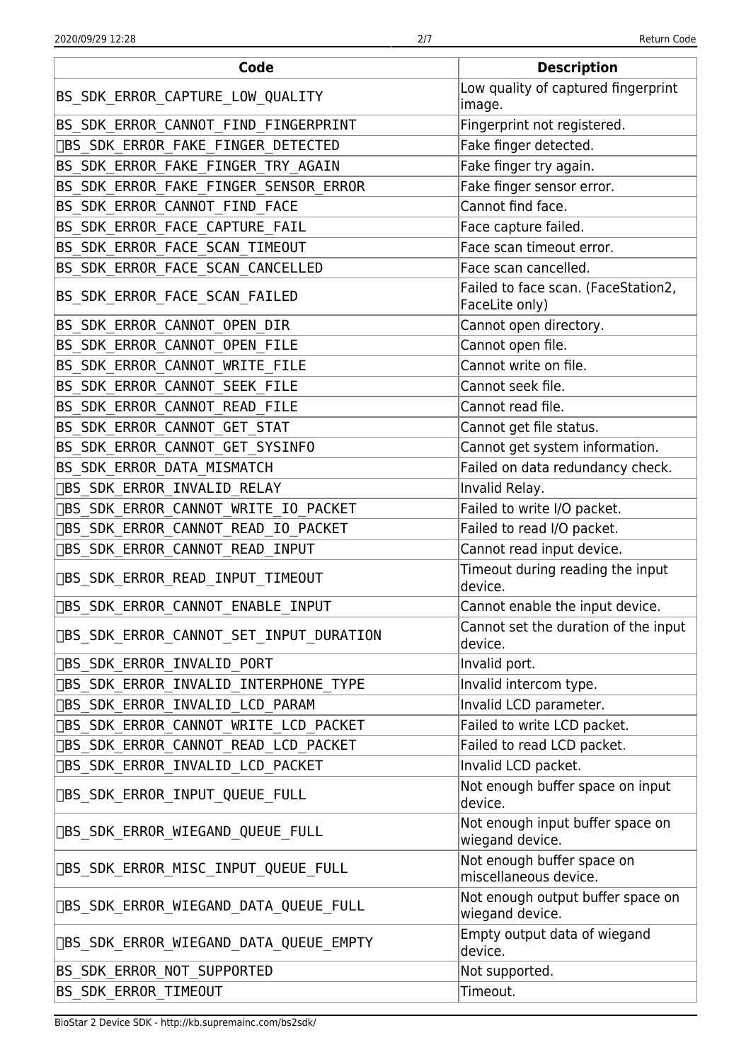| Code                                           | <b>Description</b>                                    |
|------------------------------------------------|-------------------------------------------------------|
| BS_SDK_ERROR_CAPTURE_LOW_QUALITY               | Low quality of captured fingerprint<br>image.         |
| BS_SDK_ERROR_CANNOT_FIND_FINGERPRINT           | Fingerprint not registered.                           |
| [BS_SDK_ERROR_FAKE_FINGER_DETECTED             | Fake finger detected.                                 |
| BS_SDK_ERROR_FAKE_FINGER_TRY_AGAIN             | Fake finger try again.                                |
| BS_SDK_ERROR_FAKE_FINGER_SENSOR_ERROR          | Fake finger sensor error.                             |
| BS_SDK_ERROR_CANNOT_FIND_FACE                  | Cannot find face.                                     |
| BS_SDK_ERROR_FACE_CAPTURE_FAIL                 | Face capture failed.                                  |
| BS_SDK_ERROR_FACE_SCAN_TIMEOUT                 | Face scan timeout error.                              |
| BS_SDK_ERROR_FACE_SCAN_CANCELLED               | Face scan cancelled.                                  |
| BS SDK ERROR FACE SCAN FAILED                  | Failed to face scan. (FaceStation2,<br>FaceLite only) |
| BS_SDK_ERROR_CANNOT_OPEN_DIR                   | Cannot open directory.                                |
| BS_SDK_ERROR_CANNOT_OPEN_FILE                  | Cannot open file.                                     |
| BS_SDK_ERROR_CANNOT_WRITE_FILE                 | Cannot write on file.                                 |
| BS_SDK_ERROR_CANNOT_SEEK_FILE                  | Cannot seek file.                                     |
| BS_SDK_ERROR_CANNOT_READ_FILE                  | Cannot read file.                                     |
| BS_SDK_ERROR_CANNOT_GET_STAT                   | Cannot get file status.                               |
| BS_SDK_ERROR_CANNOT_GET_SYSINFO                | Cannot get system information.                        |
| BS_SDK_ERROR_DATA_MISMATCH                     | Failed on data redundancy check.                      |
| □BS_SDK_ERROR_INVALID_RELAY                    | Invalid Relay.                                        |
| □BS_SDK_ERROR_CANNOT_WRITE_IO_PACKET           | Failed to write I/O packet.                           |
| [BS_SDK_ERROR_CANNOT_READ_IO_PACKET            | Failed to read I/O packet.                            |
| <b>DBS SDK ERROR CANNOT READ INPUT</b>         | Cannot read input device.                             |
| [BS_SDK_ERROR_READ_INPUT_TIMEOUT               | Timeout during reading the input<br>device.           |
| DBS_SDK_ERROR_CANNOT_ENABLE_INPUT              | Cannot enable the input device.                       |
| <b>DBS SDK ERROR CANNOT SET INPUT DURATION</b> | Cannot set the duration of the input<br>device.       |
| <b>OBS SDK ERROR INVALID PORT</b>              | Invalid port.                                         |
| [BS_SDK_ERROR_INVALID_INTERPHONE_TYPE          | Invalid intercom type.                                |
| □BS_SDK_ERROR_INVALID_LCD_PARAM                | Invalid LCD parameter.                                |
| <b>DBS SDK ERROR CANNOT WRITE LCD PACKET</b>   | Failed to write LCD packet.                           |
| □BS_SDK_ERROR_CANNOT_READ_LCD_PACKET           | Failed to read LCD packet.                            |
| [BS_SDK_ERROR_INVALID_LCD_PACKET               | Invalid LCD packet.                                   |
| <b>OBS SDK ERROR INPUT QUEUE FULL</b>          | Not enough buffer space on input<br>device.           |
| □BS_SDK_ERROR_WIEGAND_QUEUE_FULL               | Not enough input buffer space on<br>wiegand device.   |
| <b>DBS_SDK_ERROR_MISC_INPUT_QUEUE_FULL</b>     | Not enough buffer space on<br>miscellaneous device.   |
| DBS SDK ERROR WIEGAND DATA QUEUE FULL          | Not enough output buffer space on<br>wiegand device.  |
| DBS SDK ERROR WIEGAND DATA QUEUE EMPTY         | Empty output data of wiegand<br>device.               |
| BS SDK ERROR NOT SUPPORTED                     | Not supported.                                        |
| BS_SDK_ERROR_TIMEOUT                           | Timeout.                                              |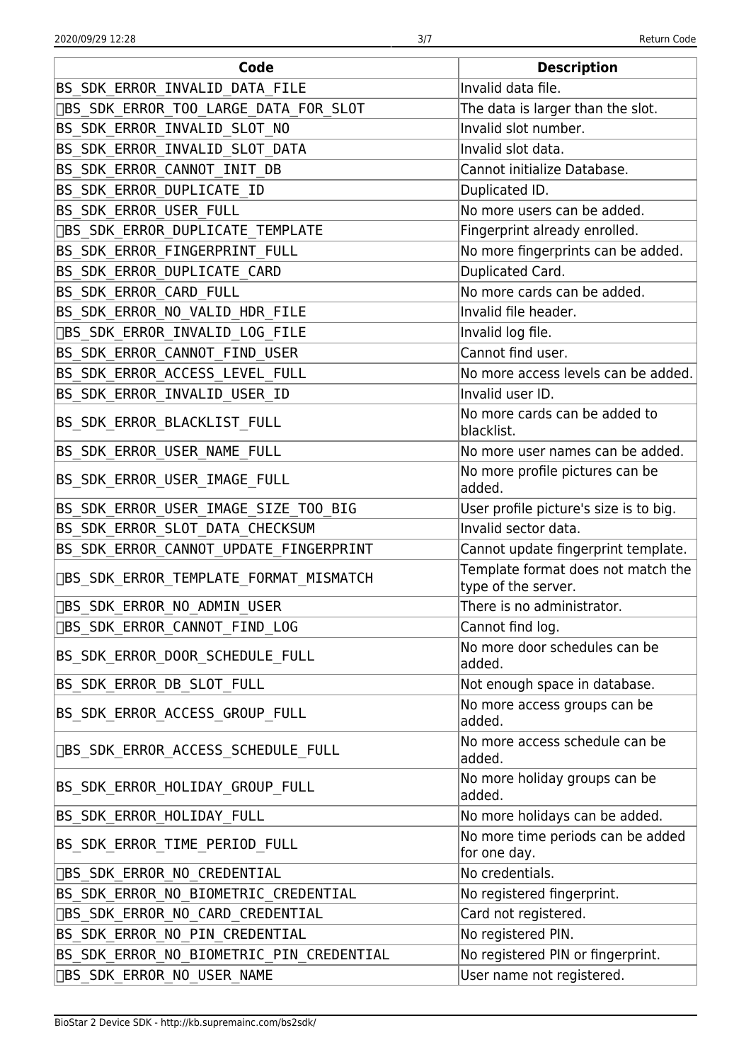| Code                                     | <b>Description</b>                                        |
|------------------------------------------|-----------------------------------------------------------|
| BS SDK ERROR INVALID DATA FILE           | Invalid data file.                                        |
| □BS_SDK_ERROR_TOO_LARGE_DATA_FOR_SLOT    | The data is larger than the slot.                         |
| BS_SDK_ERROR_INVALID_SLOT_NO             | Invalid slot number.                                      |
| BS SDK ERROR INVALID SLOT DATA           | Invalid slot data.                                        |
| BS_SDK_ERROR_CANNOT_INIT_DB              | Cannot initialize Database.                               |
| BS_SDK_ERROR_DUPLICATE_ID                | Duplicated ID.                                            |
| BS SDK ERROR USER FULL                   | No more users can be added.                               |
| □BS_SDK_ERROR_DUPLICATE_TEMPLATE         | Fingerprint already enrolled.                             |
| BS_SDK_ERROR_FINGERPRINT_FULL            | No more fingerprints can be added.                        |
| BS_SDK_ERROR_DUPLICATE_CARD              | Duplicated Card.                                          |
| BS SDK ERROR CARD FULL                   | No more cards can be added.                               |
| BS_SDK_ERROR_NO_VALID_HDR_FILE           | Invalid file header.                                      |
| <b>OBS_SDK_ERROR_INVALID_LOG_FILE</b>    | Invalid log file.                                         |
| BS_SDK_ERROR_CANNOT_FIND_USER            | Cannot find user.                                         |
| BS_SDK_ERROR_ACCESS_LEVEL_FULL           | No more access levels can be added.                       |
| BS_SDK_ERROR_INVALID_USER_ID             | Invalid user ID.                                          |
| BS_SDK_ERROR_BLACKLIST_FULL              | No more cards can be added to<br>blacklist.               |
| BS_SDK_ERROR_USER_NAME_FULL              | No more user names can be added.                          |
| BS_SDK_ERROR_USER_IMAGE_FULL             | No more profile pictures can be<br>added.                 |
| BS_SDK_ERROR_USER_IMAGE_SIZE_T00_BIG     | User profile picture's size is to big.                    |
| BS_SDK_ERROR_SLOT_DATA_CHECKSUM          | Invalid sector data.                                      |
| BS_SDK_ERROR_CANNOT_UPDATE_FINGERPRINT   | Cannot update fingerprint template.                       |
| [BS_SDK_ERROR_TEMPLATE_FORMAT_MISMATCH   | Template format does not match the<br>type of the server. |
| DBS_SDK_ERROR_NO_ADMIN_USER              | There is no administrator.                                |
| □BS_SDK_ERROR_CANNOT_FIND_LOG            | Cannot find log.                                          |
| BS_SDK_ERROR_DOOR_SCHEDULE_FULL          | No more door schedules can be<br>added.                   |
| BS_SDK_ERROR_DB_SLOT_FULL                | Not enough space in database.                             |
| BS_SDK_ERROR_ACCESS_GROUP_FULL           | No more access groups can be<br>added.                    |
| □BS_SDK_ERROR_ACCESS_SCHEDULE_FULL       | No more access schedule can be<br>added.                  |
| BS_SDK_ERROR_HOLIDAY_GROUP_FULL          | No more holiday groups can be<br>added.                   |
| BS_SDK_ERROR_HOLIDAY_FULL                | No more holidays can be added.                            |
| BS_SDK_ERROR_TIME_PERIOD_FULL            | No more time periods can be added<br>for one day.         |
| □BS_SDK_ERROR_NO_CREDENTIAL              | No credentials.                                           |
| BS_SDK_ERROR_NO_BIOMETRIC_CREDENTIAL     | No registered fingerprint.                                |
| [BS_SDK_ERROR_NO_CARD_CREDENTIAL         | Card not registered.                                      |
| BS_SDK_ERROR_NO_PIN_CREDENTIAL           | No registered PIN.                                        |
| BS_SDK_ERROR_NO_BIOMETRIC_PIN_CREDENTIAL | No registered PIN or fingerprint.                         |
| <b>OBS SDK ERROR NO USER NAME</b>        | User name not registered.                                 |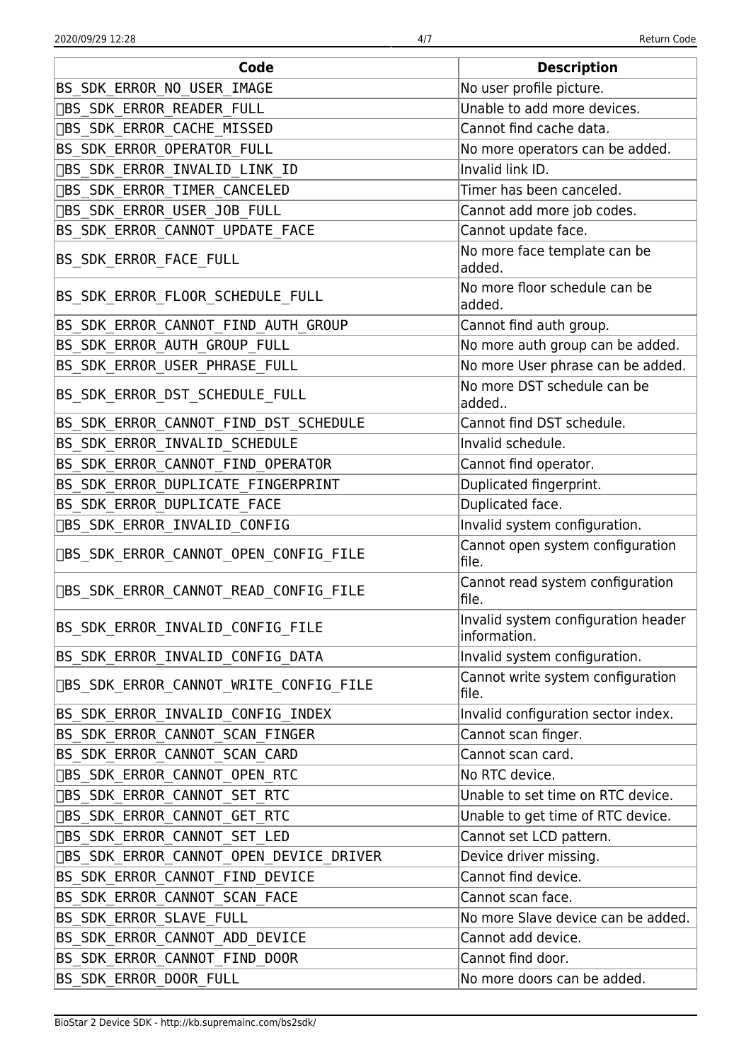| Code                                          | <b>Description</b>                                  |
|-----------------------------------------------|-----------------------------------------------------|
| BS_SDK_ERROR_NO_USER_IMAGE                    | No user profile picture.                            |
| <b>DBS_SDK_ERROR_READER_FULL</b>              | Unable to add more devices.                         |
| □BS_SDK_ERROR_CACHE_MISSED                    | Cannot find cache data.                             |
| BS_SDK_ERROR_OPERATOR_FULL                    | No more operators can be added.                     |
| □BS_SDK_ERROR_INVALID_LINK_ID                 | Invalid link ID.                                    |
| <b>OBS SDK ERROR TIMER CANCELED</b>           | Timer has been canceled.                            |
| □BS_SDK_ERROR_USER_JOB_FULL                   | Cannot add more job codes.                          |
| BS_SDK_ERROR_CANNOT_UPDATE_FACE               | Cannot update face.                                 |
| BS_SDK_ERROR_FACE_FULL                        | No more face template can be<br>added.              |
| BS_SDK_ERROR_FLOOR_SCHEDULE_FULL              | No more floor schedule can be<br>added.             |
| BS_SDK_ERROR_CANNOT_FIND_AUTH_GROUP           | Cannot find auth group.                             |
| BS SDK ERROR AUTH GROUP FULL                  | No more auth group can be added.                    |
| BS_SDK_ERROR_USER_PHRASE_FULL                 | No more User phrase can be added.                   |
| BS_SDK_ERROR_DST_SCHEDULE_FULL                | No more DST schedule can be<br>added                |
| BS_SDK_ERROR_CANNOT_FIND_DST_SCHEDULE         | Cannot find DST schedule.                           |
| BS_SDK_ERROR_INVALID_SCHEDULE                 | Invalid schedule.                                   |
| BS SDK_ERROR_CANNOT_FIND_OPERATOR             | Cannot find operator.                               |
| BS_SDK_ERROR_DUPLICATE_FINGERPRINT            | Duplicated fingerprint.                             |
| BS_SDK_ERROR_DUPLICATE_FACE                   | Duplicated face.                                    |
| <b>OBS_SDK_ERROR_INVALID_CONFIG</b>           | Invalid system configuration.                       |
| □BS_SDK_ERROR_CANNOT_OPEN_CONFIG_FILE         | Cannot open system configuration<br>file.           |
| □BS_SDK_ERROR_CANNOT_READ_CONFIG_FILE         | Cannot read system configuration<br>file.           |
| BS_SDK_ERROR_INVALID_CONFIG_FILE              | Invalid system configuration header<br>information. |
| BS_SDK_ERROR_INVALID_CONFIG_DATA              | Invalid system configuration.                       |
| <b>OBS SDK ERROR CANNOT WRITE CONFIG FILE</b> | Cannot write system configuration<br>file.          |
| BS_SDK_ERROR_INVALID_CONFIG_INDEX             | Invalid configuration sector index.                 |
| BS SDK ERROR CANNOT SCAN FINGER               | Cannot scan finger.                                 |
| BS_SDK_ERROR_CANNOT_SCAN_CARD                 | Cannot scan card.                                   |
| <b>OBS SDK_ERROR_CANNOT_OPEN_RTC</b>          | No RTC device.                                      |
| □BS_SDK_ERROR_CANNOT_SET_RTC                  | Unable to set time on RTC device.                   |
| <b>OBS SDK ERROR CANNOT GET RTC</b>           | Unable to get time of RTC device.                   |
| □BS_SDK_ERROR_CANNOT_SET_LED                  | Cannot set LCD pattern.                             |
| □BS_SDK_ERROR_CANNOT_OPEN_DEVICE_DRIVER       | Device driver missing.                              |
| BS SDK ERROR CANNOT FIND DEVICE               | Cannot find device.                                 |
| BS_SDK_ERROR_CANNOT_SCAN_FACE                 | Cannot scan face.                                   |
| BS_SDK_ERROR_SLAVE_FULL                       | No more Slave device can be added.                  |
| BS_SDK_ERROR_CANNOT_ADD_DEVICE                | Cannot add device.                                  |
| BS_SDK_ERROR_CANNOT_FIND_DOOR                 | Cannot find door.                                   |
| BS SDK ERROR DOOR FULL                        | No more doors can be added.                         |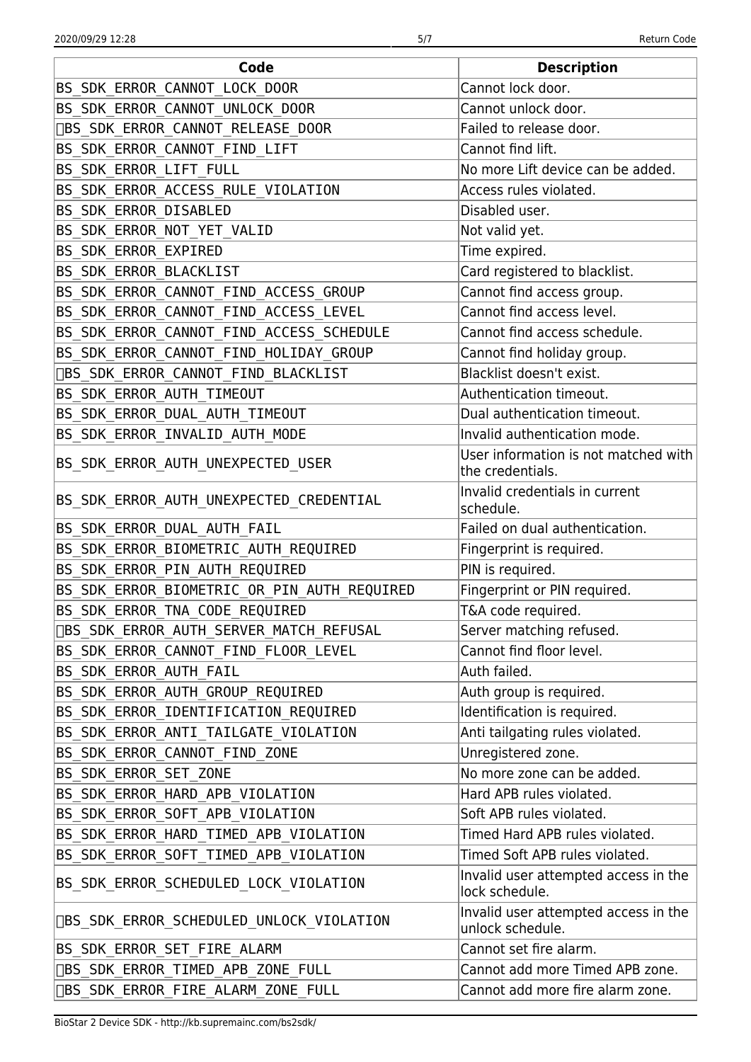| Code                                        | <b>Description</b>                                       |
|---------------------------------------------|----------------------------------------------------------|
| BS SDK ERROR CANNOT LOCK DOOR               | Cannot lock door.                                        |
| BS_SDK_ERROR_CANNOT_UNLOCK_DOOR             | Cannot unlock door.                                      |
| [BS_SDK_ERROR_CANNOT_RELEASE_DOOR           | Failed to release door.                                  |
| BS_SDK_ERROR_CANNOT_FIND_LIFT               | Cannot find lift.                                        |
| BS_SDK_ERROR_LIFT_FULL                      | No more Lift device can be added.                        |
| BS_SDK_ERROR_ACCESS_RULE_VIOLATION          | Access rules violated.                                   |
| BS_SDK_ERROR_DISABLED                       | Disabled user.                                           |
| BS_SDK_ERROR_NOT_YET_VALID                  | Not valid yet.                                           |
| BS_SDK_ERROR_EXPIRED                        | Time expired.                                            |
| BS_SDK_ERROR_BLACKLIST                      | Card registered to blacklist.                            |
| BS_SDK_ERROR_CANNOT_FIND_ACCESS_GROUP       | Cannot find access group.                                |
| BS_SDK_ERROR_CANNOT_FIND_ACCESS_LEVEL       | Cannot find access level.                                |
| BS_SDK_ERROR_CANNOT_FIND_ACCESS_SCHEDULE    | Cannot find access schedule.                             |
| BS_SDK_ERROR_CANNOT_FIND_HOLIDAY_GROUP      | Cannot find holiday group.                               |
| DBS_SDK_ERROR_CANNOT_FIND_BLACKLIST         | Blacklist doesn't exist.                                 |
| BS_SDK_ERROR_AUTH_TIMEOUT                   | Authentication timeout.                                  |
| BS_SDK_ERROR_DUAL_AUTH_TIMEOUT              | Dual authentication timeout.                             |
| BS_SDK_ERROR_INVALID_AUTH_MODE              | Invalid authentication mode.                             |
| BS_SDK_ERROR_AUTH_UNEXPECTED_USER           | User information is not matched with<br>the credentials. |
| BS_SDK_ERROR_AUTH_UNEXPECTED_CREDENTIAL     | Invalid credentials in current<br>schedule.              |
| BS_SDK_ERROR_DUAL_AUTH_FAIL                 | Failed on dual authentication.                           |
| BS_SDK_ERROR_BIOMETRIC_AUTH_REQUIRED        | Fingerprint is required.                                 |
| BS_SDK_ERROR_PIN_AUTH_REQUIRED              | PIN is required.                                         |
| BS SDK ERROR BIOMETRIC OR PIN AUTH REQUIRED | Fingerprint or PIN required.                             |
| BS_SDK_ERROR_TNA_CODE_REQUIRED              | T&A code required.                                       |
| DBS_SDK_ERROR_AUTH_SERVER_MATCH_REFUSAL     | Server matching refused.                                 |
| BS_SDK_ERROR_CANNOT_FIND_FLOOR_LEVEL        | Cannot find floor level.                                 |
| BS SDK ERROR AUTH FAIL                      | Auth failed.                                             |
| BS SDK ERROR_AUTH_GROUP_REQUIRED            | Auth group is required.                                  |
| BS_SDK_ERROR_IDENTIFICATION_REQUIRED        | Identification is required.                              |
| BS SDK_ERROR_ANTI_TAILGATE_VIOLATION        | Anti tailgating rules violated.                          |
| BS_SDK_ERROR_CANNOT_FIND_ZONE               | Unregistered zone.                                       |
| BS_SDK_ERROR_SET_ZONE                       | No more zone can be added.                               |
| BS_SDK_ERROR_HARD_APB_VIOLATION             | Hard APB rules violated.                                 |
| BS SDK ERROR SOFT APB VIOLATION             | Soft APB rules violated.                                 |
| BS_SDK_ERROR_HARD_TIMED_APB_VIOLATION       | Timed Hard APB rules violated.                           |
| BS_SDK_ERROR_SOFT_TIMED_APB_VIOLATION       | Timed Soft APB rules violated.                           |
| BS SDK ERROR SCHEDULED LOCK VIOLATION       | Invalid user attempted access in the<br>lock schedule.   |
| <b>SOM ERROR SCHEDULED UNLOCK VIOLATION</b> | Invalid user attempted access in the<br>unlock schedule. |
| BS SDK ERROR SET FIRE ALARM                 | Cannot set fire alarm.                                   |
| □BS_SDK_ERROR_TIMED_APB_ZONE_FULL           | Cannot add more Timed APB zone.                          |
| □BS_SDK_ERROR_FIRE_ALARM_ZONE_FULL          | Cannot add more fire alarm zone.                         |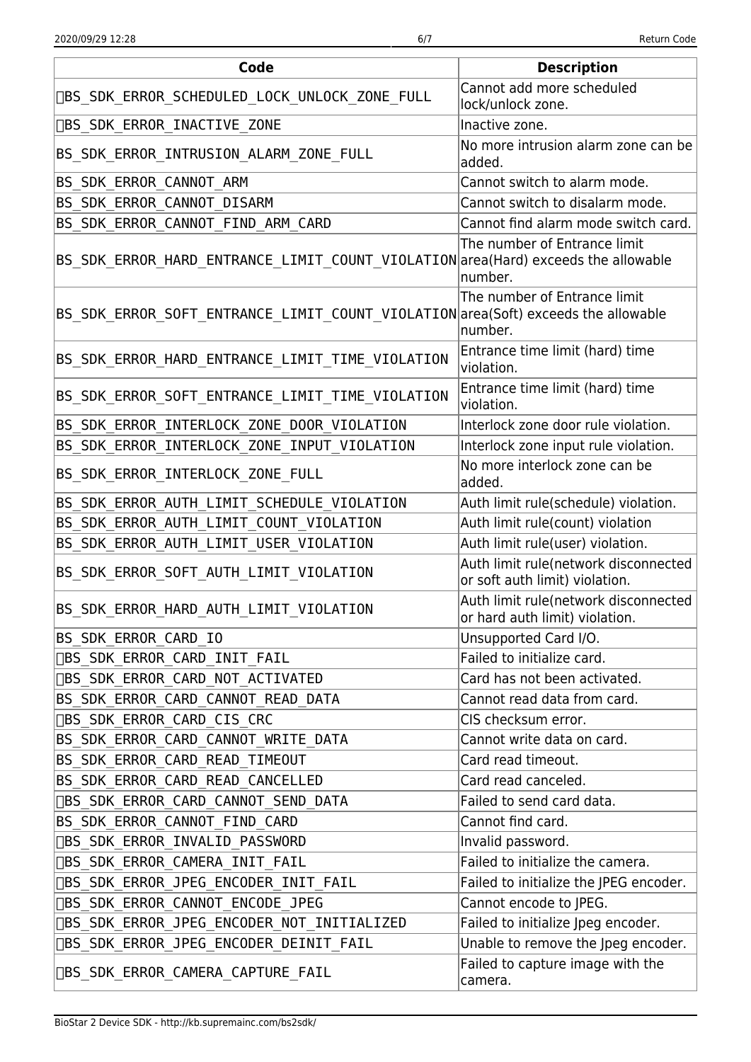| Code                                                                               | <b>Description</b>                                                     |
|------------------------------------------------------------------------------------|------------------------------------------------------------------------|
| [BS_SDK_ERROR_SCHEDULED_LOCK_UNLOCK_ZONE_FULL                                      | Cannot add more scheduled<br>lock/unlock zone.                         |
| □BS_SDK_ERROR_INACTIVE_ZONE                                                        | Inactive zone.                                                         |
| BS_SDK_ERROR_INTRUSION_ALARM_ZONE_FULL                                             | No more intrusion alarm zone can be<br>added.                          |
| BS_SDK_ERROR_CANNOT_ARM                                                            | Cannot switch to alarm mode.                                           |
| BS SDK ERROR CANNOT DISARM                                                         | Cannot switch to disalarm mode.                                        |
| BS_SDK_ERROR_CANNOT_FIND_ARM_CARD                                                  | Cannot find alarm mode switch card.                                    |
| BS_SDK_ERROR_HARD_ENTRANCE_LIMIT_COUNT_VIOLATION area (Hard) exceeds the allowable | The number of Entrance limit<br>number.                                |
| BS_SDK_ERROR_SOFT_ENTRANCE_LIMIT_COUNT_VIOLATION area(Soft) exceeds the allowable  | The number of Entrance limit<br>number.                                |
| BS_SDK_ERROR_HARD_ENTRANCE_LIMIT_TIME_VIOLATION                                    | Entrance time limit (hard) time<br>violation.                          |
| BS_SDK_ERROR_SOFT_ENTRANCE_LIMIT_TIME_VIOLATION                                    | Entrance time limit (hard) time<br>violation.                          |
| BS_SDK_ERROR_INTERLOCK_ZONE_DOOR_VIOLATION                                         | Interlock zone door rule violation.                                    |
| BS_SDK_ERROR_INTERLOCK_ZONE_INPUT_VIOLATION                                        | Interlock zone input rule violation.                                   |
| BS_SDK_ERROR_INTERLOCK_ZONE_FULL                                                   | No more interlock zone can be<br>added.                                |
| BS_SDK_ERROR_AUTH_LIMIT_SCHEDULE_VIOLATION                                         | Auth limit rule(schedule) violation.                                   |
| BS_SDK_ERROR_AUTH_LIMIT_COUNT_VIOLATION                                            | Auth limit rule(count) violation                                       |
| BS_SDK_ERROR_AUTH_LIMIT_USER_VIOLATION                                             | Auth limit rule(user) violation.                                       |
| BS_SDK_ERROR_SOFT_AUTH_LIMIT_VIOLATION                                             | Auth limit rule(network disconnected<br>or soft auth limit) violation. |
| BS_SDK_ERROR_HARD_AUTH_LIMIT_VIOLATION                                             | Auth limit rule(network disconnected<br>or hard auth limit) violation. |
| BS SDK ERROR CARD IO                                                               | Unsupported Card I/O.                                                  |
| □BS_SDK_ERROR_CARD_INIT_FAIL                                                       | Failed to initialize card.                                             |
| □BS_SDK_ERROR_CARD_NOT_ACTIVATED                                                   | Card has not been activated.                                           |
| BS_SDK_ERROR_CARD_CANNOT_READ_DATA                                                 | Cannot read data from card.                                            |
| □BS_SDK_ERROR_CARD_CIS_CRC                                                         | CIS checksum error.                                                    |
| BS_SDK_ERROR_CARD_CANNOT_WRITE_DATA                                                | Cannot write data on card.                                             |
| BS_SDK_ERROR_CARD_READ_TIMEOUT                                                     | Card read timeout.                                                     |
| BS_SDK_ERROR_CARD_READ_CANCELLED                                                   | Card read canceled.                                                    |
| ∏BS_SDK_ERROR_CARD_CANNOT_SEND_DATA                                                | Failed to send card data.                                              |
| BS_SDK_ERROR_CANNOT_FIND_CARD                                                      | Cannot find card.                                                      |
| [BS_SDK_ERROR_INVALID_PASSWORD                                                     | Invalid password.                                                      |
| <b>OBS SDK ERROR CAMERA INIT FAIL</b>                                              | Failed to initialize the camera.                                       |
| ∏BS SDK ERROR JPEG ENCODER INIT FAIL                                               | Failed to initialize the JPEG encoder.                                 |
| [BS_SDK_ERROR_CANNOT_ENCODE_JPEG                                                   | Cannot encode to JPEG.                                                 |
| [BS_SDK_ERROR_JPEG_ENCODER_NOT_INITIALIZED                                         | Failed to initialize Jpeg encoder.                                     |
| [BS_SDK_ERROR_JPEG_ENCODER_DEINIT_FAIL                                             | Unable to remove the Jpeg encoder.                                     |
| <b>DBS SDK ERROR CAMERA CAPTURE FAIL</b>                                           | Failed to capture image with the<br>camera.                            |